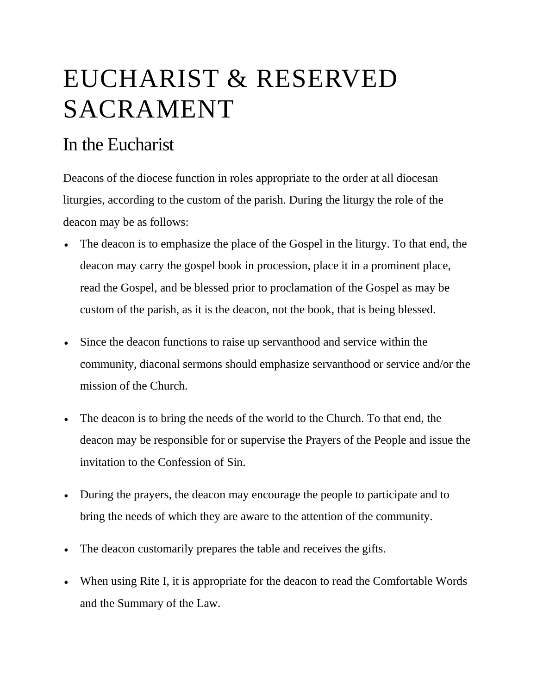## EUCHARIST & RESERVED SACRAMENT

## In the Eucharist

Deacons of the diocese function in roles appropriate to the order at all diocesan liturgies, according to the custom of the parish. During the liturgy the role of the deacon may be as follows:

- The deacon is to emphasize the place of the Gospel in the liturgy. To that end, the deacon may carry the gospel book in procession, place it in a prominent place, read the Gospel, and be blessed prior to proclamation of the Gospel as may be custom of the parish, as it is the deacon, not the book, that is being blessed.
- Since the deacon functions to raise up servanthood and service within the community, diaconal sermons should emphasize servanthood or service and/or the mission of the Church.
- The deacon is to bring the needs of the world to the Church. To that end, the deacon may be responsible for or supervise the Prayers of the People and issue the invitation to the Confession of Sin.
- During the prayers, the deacon may encourage the people to participate and to bring the needs of which they are aware to the attention of the community.
- The deacon customarily prepares the table and receives the gifts.
- When using Rite I, it is appropriate for the deacon to read the Comfortable Words and the Summary of the Law.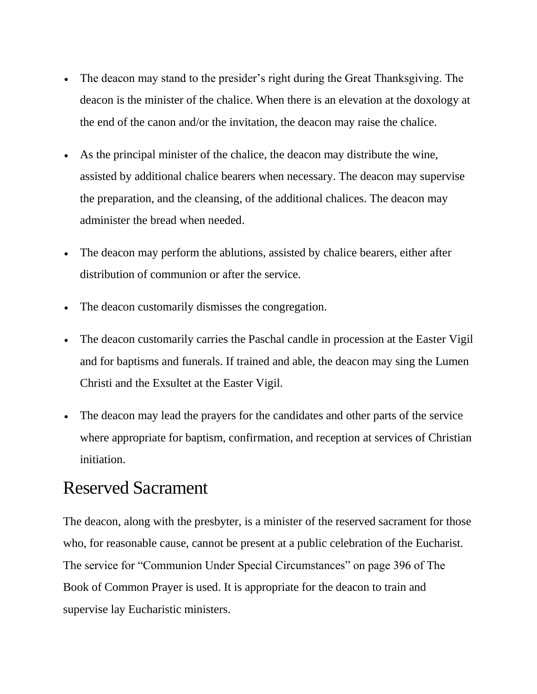- The deacon may stand to the presider's right during the Great Thanksgiving. The deacon is the minister of the chalice. When there is an elevation at the doxology at the end of the canon and/or the invitation, the deacon may raise the chalice.
- As the principal minister of the chalice, the deacon may distribute the wine, assisted by additional chalice bearers when necessary. The deacon may supervise the preparation, and the cleansing, of the additional chalices. The deacon may administer the bread when needed.
- The deacon may perform the ablutions, assisted by chalice bearers, either after distribution of communion or after the service.
- The deacon customarily dismisses the congregation.
- The deacon customarily carries the Paschal candle in procession at the Easter Vigil and for baptisms and funerals. If trained and able, the deacon may sing the Lumen Christi and the Exsultet at the Easter Vigil.
- The deacon may lead the prayers for the candidates and other parts of the service where appropriate for baptism, confirmation, and reception at services of Christian initiation.

## Reserved Sacrament

The deacon, along with the presbyter, is a minister of the reserved sacrament for those who, for reasonable cause, cannot be present at a public celebration of the Eucharist. The service for "Communion Under Special Circumstances" on page 396 of The Book of Common Prayer is used. It is appropriate for the deacon to train and supervise lay Eucharistic ministers.